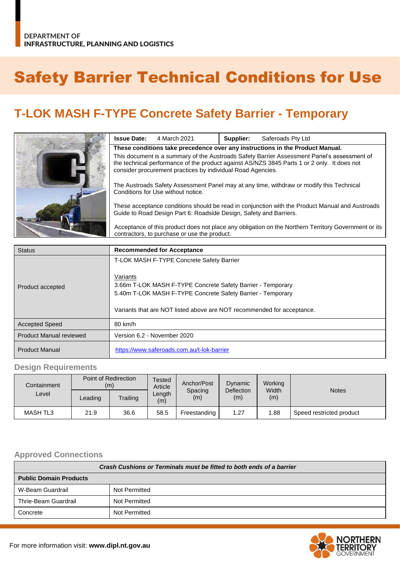# Safety Barrier Technical Conditions for Use

# **T-LOK MASH F-TYPE Concrete Safety Barrier - Temporary**

| <b>Issue Date:</b>                                                                                                                                                                                                                                        | 4 March 2021 | Supplier: | Saferoads Pty Ltd |
|-----------------------------------------------------------------------------------------------------------------------------------------------------------------------------------------------------------------------------------------------------------|--------------|-----------|-------------------|
| These conditions take precedence over any instructions in the Product Manual.                                                                                                                                                                             |              |           |                   |
| This document is a summary of the Austroads Safety Barrier Assessment Panel's assessment of<br>the technical performance of the product against AS/NZS 3845 Parts 1 or 2 only. It does not<br>consider procurement practices by individual Road Agencies. |              |           |                   |
| The Austroads Safety Assessment Panel may at any time, withdraw or modify this Technical<br>Conditions for Use without notice.                                                                                                                            |              |           |                   |
| These acceptance conditions should be read in conjunction with the Product Manual and Austroads<br>Guide to Road Design Part 6: Roadside Design, Safety and Barriers.                                                                                     |              |           |                   |
| Acceptance of this product does not place any obligation on the Northern Territory Government or its<br>contractors, to purchase or use the product.                                                                                                      |              |           |                   |

| <b>Status</b>                  | <b>Recommended for Acceptance</b>                                                                                                                                                                                                                             |
|--------------------------------|---------------------------------------------------------------------------------------------------------------------------------------------------------------------------------------------------------------------------------------------------------------|
| Product accepted               | T-LOK MASH F-TYPE Concrete Safety Barrier<br>Variants<br>3.66m T-LOK MASH F-TYPE Concrete Safety Barrier - Temporary<br>5.40m T-LOK MASH F-TYPE Concrete Safety Barrier - Temporary<br>Variants that are NOT listed above are NOT recommended for acceptance. |
| <b>Accepted Speed</b>          | 80 km/h                                                                                                                                                                                                                                                       |
| <b>Product Manual reviewed</b> | Version 6.2 - November 2020                                                                                                                                                                                                                                   |
| <b>Product Manual</b>          | https://www.saferoads.com.au/t-lok-barrier                                                                                                                                                                                                                    |

#### **Design Requirements**

| Containment     |                                            | Point of Redirection<br>(m) | Tested<br>Article | Anchor/Post<br>Spacing<br>(m) | Dynamic<br>Deflection<br>(m) | Working<br>Width<br>(m) | <b>Notes</b>             |
|-----------------|--------------------------------------------|-----------------------------|-------------------|-------------------------------|------------------------------|-------------------------|--------------------------|
| Level           | $\text{\textcolor{red}{\mathsf{L}}eading}$ | Trailing                    | ∟ength<br>(m)     |                               |                              |                         |                          |
| <b>MASH TL3</b> | 21.9                                       | 36.6                        | 58.5              | Freestanding                  | 1.27                         | 1.88                    | Speed restricted product |

#### **Approved Connections**

| Crash Cushions or Terminals must be fitted to both ends of a barrier |               |  |  |
|----------------------------------------------------------------------|---------------|--|--|
| <b>Public Domain Products</b>                                        |               |  |  |
| W-Beam Guardrail                                                     | Not Permitted |  |  |
| Thrie-Beam Guardrail                                                 | Not Permitted |  |  |
| Concrete                                                             | Not Permitted |  |  |

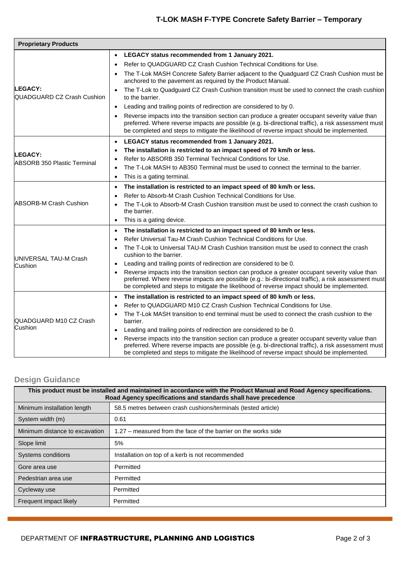# **T-LOK MASH F-TYPE Concrete Safety Barrier – Temporary**

| <b>Proprietary Products</b>                         |                                                                                                                                                                                                                                                                                                                   |  |  |  |  |
|-----------------------------------------------------|-------------------------------------------------------------------------------------------------------------------------------------------------------------------------------------------------------------------------------------------------------------------------------------------------------------------|--|--|--|--|
|                                                     | LEGACY status recommended from 1 January 2021.<br>$\bullet$                                                                                                                                                                                                                                                       |  |  |  |  |
|                                                     | Refer to QUADGUARD CZ Crash Cushion Technical Conditions for Use.<br>$\bullet$                                                                                                                                                                                                                                    |  |  |  |  |
|                                                     | The T-Lok MASH Concrete Safety Barrier adjacent to the Quadguard CZ Crash Cushion must be<br>anchored to the pavement as required by the Product Manual.                                                                                                                                                          |  |  |  |  |
| <b>LEGACY:</b><br><b>QUADGUARD CZ Crash Cushion</b> | The T-Lok to Quadguard CZ Crash Cushion transition must be used to connect the crash cushion<br>to the barrier.                                                                                                                                                                                                   |  |  |  |  |
|                                                     | Leading and trailing points of redirection are considered to by 0.                                                                                                                                                                                                                                                |  |  |  |  |
|                                                     | Reverse impacts into the transition section can produce a greater occupant severity value than<br>$\bullet$<br>preferred. Where reverse impacts are possible (e.g. bi-directional traffic), a risk assessment must<br>be completed and steps to mitigate the likelihood of reverse impact should be implemented.  |  |  |  |  |
|                                                     | LEGACY status recommended from 1 January 2021.<br>$\bullet$                                                                                                                                                                                                                                                       |  |  |  |  |
| LEGACY:                                             | The installation is restricted to an impact speed of 70 km/h or less.<br>$\bullet$                                                                                                                                                                                                                                |  |  |  |  |
| ABSORB 350 Plastic Terminal                         | Refer to ABSORB 350 Terminal Technical Conditions for Use.<br>$\bullet$                                                                                                                                                                                                                                           |  |  |  |  |
|                                                     | The T-Lok MASH to AB350 Terminal must be used to connect the terminal to the barrier.<br>$\bullet$                                                                                                                                                                                                                |  |  |  |  |
|                                                     | This is a gating terminal.<br>$\bullet$                                                                                                                                                                                                                                                                           |  |  |  |  |
|                                                     | The installation is restricted to an impact speed of 80 km/h or less.<br>$\bullet$                                                                                                                                                                                                                                |  |  |  |  |
|                                                     | Refer to Absorb-M Crash Cushion Technical Conditions for Use.<br>$\bullet$                                                                                                                                                                                                                                        |  |  |  |  |
| <b>ABSORB-M Crash Cushion</b>                       | The T-Lok to Absorb-M Crash Cushion transition must be used to connect the crash cushion to<br>$\bullet$<br>the barrier.                                                                                                                                                                                          |  |  |  |  |
|                                                     | This is a gating device.<br>$\bullet$                                                                                                                                                                                                                                                                             |  |  |  |  |
|                                                     | The installation is restricted to an impact speed of 80 km/h or less.<br>$\bullet$                                                                                                                                                                                                                                |  |  |  |  |
|                                                     | Refer Universal Tau-M Crash Cushion Technical Conditions for Use.<br>$\bullet$                                                                                                                                                                                                                                    |  |  |  |  |
| UNIVERSAL TAU-M Crash                               | The T-Lok to Universal TAU-M Crash Cushion transition must be used to connect the crash<br>cushion to the barrier.                                                                                                                                                                                                |  |  |  |  |
| Cushion                                             | Leading and trailing points of redirection are considered to be 0.<br>$\bullet$                                                                                                                                                                                                                                   |  |  |  |  |
|                                                     | Reverse impacts into the transition section can produce a greater occupant severity value than<br>$\bullet$<br>preferred. Where reverse impacts are possible (e.g.: bi-directional traffic), a risk assessment must<br>be completed and steps to mitigate the likelihood of reverse impact should be implemented. |  |  |  |  |
|                                                     | The installation is restricted to an impact speed of 80 km/h or less.<br>$\bullet$                                                                                                                                                                                                                                |  |  |  |  |
|                                                     | Refer to QUADGUARD M10 CZ Crash Cushion Technical Conditions for Use.<br>$\bullet$                                                                                                                                                                                                                                |  |  |  |  |
| QUADGUARD M10 CZ Crash                              | The T-Lok MASH transition to end terminal must be used to connect the crash cushion to the<br>$\bullet$<br>barrier.                                                                                                                                                                                               |  |  |  |  |
| Cushion                                             | Leading and trailing points of redirection are considered to be 0.<br>$\bullet$                                                                                                                                                                                                                                   |  |  |  |  |
|                                                     | Reverse impacts into the transition section can produce a greater occupant severity value than<br>$\bullet$<br>preferred. Where reverse impacts are possible (e.g. bi-directional traffic), a risk assessment must<br>be completed and steps to mitigate the likelihood of reverse impact should be implemented.  |  |  |  |  |

### **Design Guidance**

| This product must be installed and maintained in accordance with the Product Manual and Road Agency specifications.<br>Road Agency specifications and standards shall have precedence |                                                                |  |  |
|---------------------------------------------------------------------------------------------------------------------------------------------------------------------------------------|----------------------------------------------------------------|--|--|
| Minimum installation length                                                                                                                                                           | 58.5 metres between crash cushions/terminals (tested article)  |  |  |
| System width (m)                                                                                                                                                                      | 0.61                                                           |  |  |
| Minimum distance to excavation                                                                                                                                                        | 1.27 – measured from the face of the barrier on the works side |  |  |
| Slope limit                                                                                                                                                                           | 5%                                                             |  |  |
| Systems conditions                                                                                                                                                                    | Installation on top of a kerb is not recommended               |  |  |
| Gore area use                                                                                                                                                                         | Permitted                                                      |  |  |
| Pedestrian area use                                                                                                                                                                   | Permitted                                                      |  |  |
| Cycleway use                                                                                                                                                                          | Permitted                                                      |  |  |
| Frequent impact likely                                                                                                                                                                | Permitted                                                      |  |  |